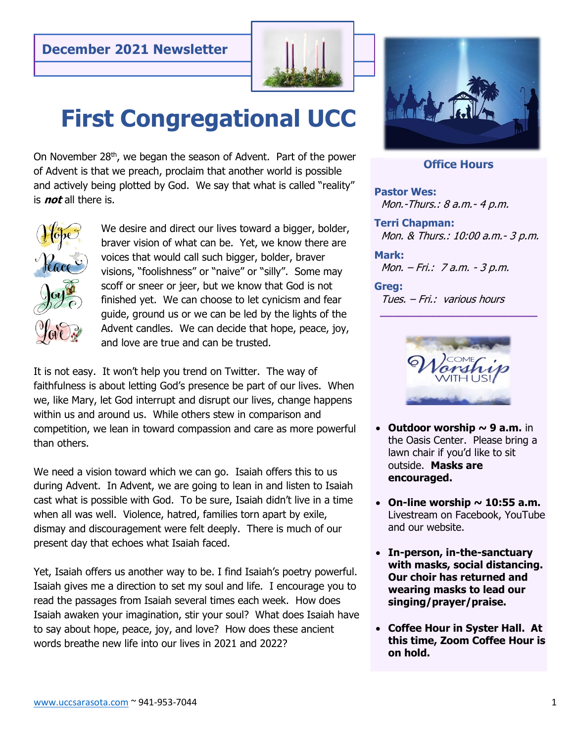

# **First Congregational UCC**

On November 28<sup>th</sup>, we began the season of Advent. Part of the power of Advent is that we preach, proclaim that another world is possible and actively being plotted by God. We say that what is called "reality" is **not** all there is.



We desire and direct our lives toward a bigger, bolder, braver vision of what can be. Yet, we know there are voices that would call such bigger, bolder, braver visions, "foolishness" or "naive" or "silly". Some may scoff or sneer or jeer, but we know that God is not finished yet. We can choose to let cynicism and fear guide, ground us or we can be led by the lights of the Advent candles. We can decide that hope, peace, joy, and love are true and can be trusted.

It is not easy. It won't help you trend on Twitter. The way of faithfulness is about letting God's presence be part of our lives. When we, like Mary, let God interrupt and disrupt our lives, change happens within us and around us. While others stew in comparison and competition, we lean in toward compassion and care as more powerful than others.

We need a vision toward which we can go. Isaiah offers this to us during Advent. In Advent, we are going to lean in and listen to Isaiah cast what is possible with God. To be sure, Isaiah didn't live in a time when all was well. Violence, hatred, families torn apart by exile, dismay and discouragement were felt deeply. There is much of our present day that echoes what Isaiah faced.

Yet, Isaiah offers us another way to be. I find Isaiah's poetry powerful. Isaiah gives me a direction to set my soul and life. I encourage you to read the passages from Isaiah several times each week. How does Isaiah awaken your imagination, stir your soul? What does Isaiah have to say about hope, peace, joy, and love? How does these ancient words breathe new life into our lives in 2021 and 2022?



#### **Office Hours**

**Pastor Wes:**  Mon.-Thurs.: 8 a.m.- 4 p.m.

**Terri Chapman:**  Mon. & Thurs.: 10:00 a.m.- 3 p.m.

**Mark:** Mon. – Fri.: 7 a.m. - 3 p.m.

#### **Greg:**

Tues. – Fri.: various hours



 **\_\_\_\_\_\_\_\_\_\_\_\_\_\_\_\_\_\_\_\_\_\_\_\_**

- **Outdoor worship ~ 9 a.m.** in the Oasis Center. Please bring a lawn chair if you'd like to sit outside. **Masks are encouraged.**
- On-line worship  $\sim$  10:55 a.m. Livestream on Facebook, YouTube and our website.
- **In-person, in-the-sanctuary with masks, social distancing. Our choir has returned and wearing masks to lead our singing/prayer/praise.**
- **Coffee Hour in Syster Hall. At this time, Zoom Coffee Hour is on hold.**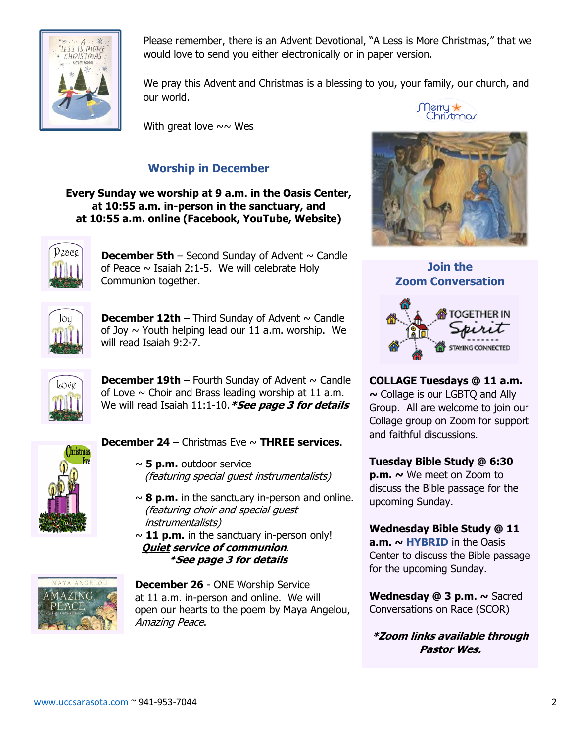

Please remember, there is an Advent Devotional, "A Less is More Christmas," that we would love to send you either electronically or in paper version.

We pray this Advent and Christmas is a blessing to you, your family, our church, and our world.

With great love  $\sim \sim$  Wes

## **Worship in December**

**Every Sunday we worship at 9 a.m. in the Oasis Center, at 10:55 a.m. in-person in the sanctuary, and at 10:55 a.m. online (Facebook, YouTube, Website)**



**December 5th** – Second Sunday of Advent  $\sim$  Candle of Peace  $\sim$  Isaiah 2:1-5. We will celebrate Holy Communion together.



**December 12th** – Third Sunday of Advent  $\sim$  Candle of Joy  $\sim$  Youth helping lead our 11 a.m. worship. We will read Isaiah 9:2-7.



**December 19th** – Fourth Sunday of Advent  $\sim$  Candle of Love  $\sim$  Choir and Brass leading worship at 11 a.m. We will read Isaiah 11:1-10.**\*See page 3 for details**



## **December 24** – Christmas Eve ~ **THREE services**.

- ~ **5 p.m.** outdoor service (featuring special guest instrumentalists)
- $\sim$  8 p.m. in the sanctuary in-person and online. (featuring choir and special guest instrumentalists)
- $\sim$  11 p.m. in the sanctuary in-person only! **Quiet service of communion**. **\*See page 3 for details**



**December 26** - ONE Worship Service at 11 a.m. in-person and online. We will open our hearts to the poem by Maya Angelou, Amazing Peace.







**COLLAGE Tuesdays @ 11 a.m. ~** Collage is our LGBTQ and Ally Group. All are welcome to join our Collage group on Zoom for support and faithful discussions.

## **Tuesday Bible Study @ 6:30**

**p.m. ~** We meet on Zoom to discuss the Bible passage for the upcoming Sunday.

## **Wednesday Bible Study @ 11**

**a.m. ~ HYBRID** in the Oasis Center to discuss the Bible passage for the upcoming Sunday.

**Wednesday @ 3 p.m. ~** Sacred Conversations on Race (SCOR)

**\*Zoom links available through Pastor Wes.**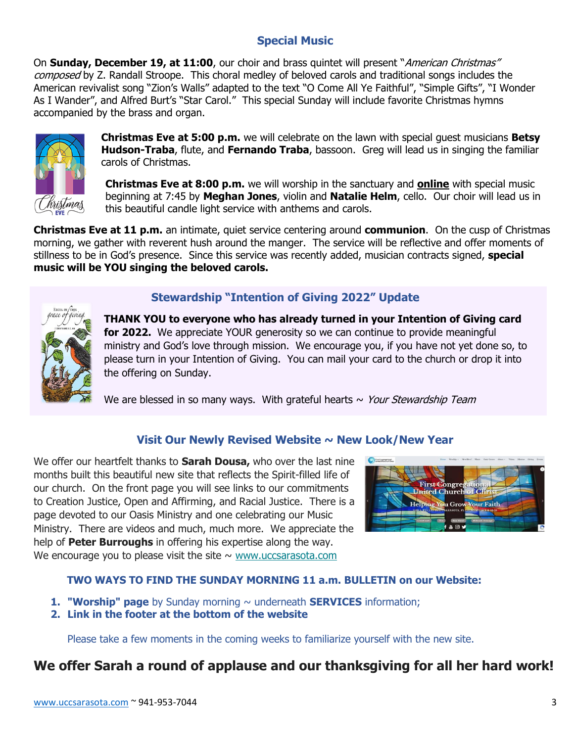## **Special Music**

On **Sunday, December 19, at 11:00**, our choir and brass quintet will present "American Christmas" composed by Z. Randall Stroope. This choral medley of beloved carols and traditional songs includes the American revivalist song "Zion's Walls" adapted to the text "O Come All Ye Faithful", "Simple Gifts", "I Wonder As I Wander", and Alfred Burt's "Star Carol." This special Sunday will include favorite Christmas hymns accompanied by the brass and organ.



**Christmas Eve at 5:00 p.m.** we will celebrate on the lawn with special guest musicians **Betsy Hudson-Traba**, flute, and **Fernando Traba**, bassoon. Greg will lead us in singing the familiar carols of Christmas.

**Christmas Eve at 8:00 p.m.** we will worship in the sanctuary and **online** with special music beginning at 7:45 by **Meghan Jones**, violin and **Natalie Helm**, cello. Our choir will lead us in this beautiful candle light service with anthems and carols.

**Christmas Eve at 11 p.m.** an intimate, quiet service centering around **communion**. On the cusp of Christmas morning, we gather with reverent hush around the manger. The service will be reflective and offer moments of stillness to be in God's presence. Since this service was recently added, musician contracts signed, **special music will be YOU singing the beloved carols.**



## **Stewardship "Intention of Giving 2022" Update**

**THANK YOU to everyone who has already turned in your Intention of Giving card for 2022.** We appreciate YOUR generosity so we can continue to provide meaningful ministry and God's love through mission. We encourage you, if you have not yet done so, to please turn in your Intention of Giving. You can mail your card to the church or drop it into the offering on Sunday.

We are blessed in so many ways. With grateful hearts  $\sim$  Your Stewardship Team

## **Visit Our Newly Revised Website ~ New Look/New Year**

We offer our heartfelt thanks to **Sarah Dousa,** who over the last nine months built this beautiful new site that reflects the Spirit-filled life of our church. On the front page you will see links to our commitments to Creation Justice, Open and Affirming, and Racial Justice. There is a page devoted to our Oasis Ministry and one celebrating our Music Ministry. There are videos and much, much more. We appreciate the help of **Peter Burroughs** in offering his expertise along the way. We encourage you to please visit the site  $\sim$  [www.uccsarasota.com](https://uccsarasota.us10.list-manage.com/track/click?u=0c2ea6baa06500fea6a4509a9&id=8facaaf8c7&e=5b2dd2d519)



## **TWO WAYS TO FIND THE SUNDAY MORNING 11 a.m. BULLETIN on our Website:**

- **1. "Worship" page** by Sunday morning ~ underneath **SERVICES** information;
- **2. Link in the footer at the bottom of the website**

Please take a few moments in the coming weeks to familiarize yourself with the new site.

# **We offer Sarah a round of applause and our thanksgiving for all her hard work!**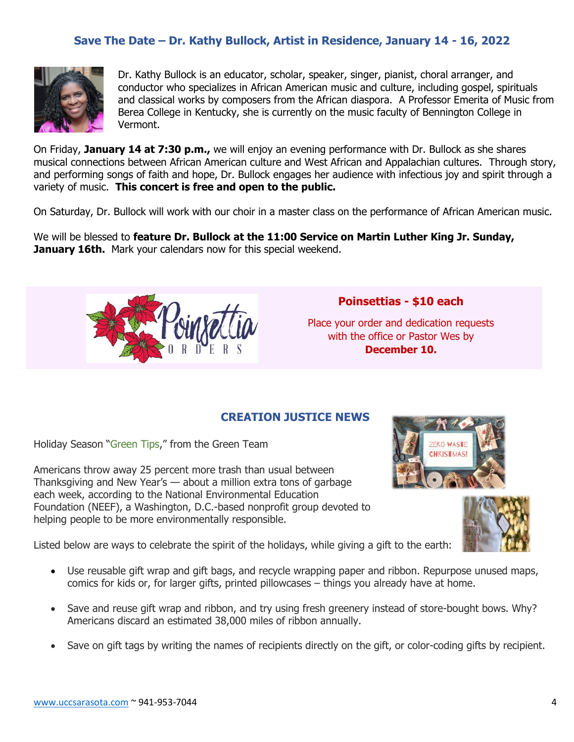## **Save The Date – Dr. Kathy Bullock, Artist in Residence, January 14 - 16, 2022**



Dr. Kathy Bullock is an educator, scholar, speaker, singer, pianist, choral arranger, and conductor who specializes in African American music and culture, including gospel, spirituals and classical works by composers from the African diaspora. A Professor Emerita of Music from Berea College in Kentucky, she is currently on the music faculty of Bennington College in Vermont.

On Friday, **January 14 at 7:30 p.m.,** we will enjoy an evening performance with Dr. Bullock as she shares musical connections between African American culture and West African and Appalachian cultures. Through story, and performing songs of faith and hope, Dr. Bullock engages her audience with infectious joy and spirit through a variety of music. **This concert is free and open to the public.**

On Saturday, Dr. Bullock will work with our choir in a master class on the performance of African American music.

We will be blessed to **feature Dr. Bullock at the 11:00 Service on Martin Luther King Jr. Sunday, January 16th.** Mark your calendars now for this special weekend.



## **Poinsettias - \$10 each**

Place your order and dedication requests with the office or Pastor Wes by **December 10.**

#### **CREATION JUSTICE NEWS**

Holiday Season "Green Tips," from the Green Team

Americans throw away 25 percent more trash than usual between Thanksgiving and New Year's — about a million extra tons of garbage each week, according to the National Environmental Education Foundation (NEEF), a Washington, D.C.-based nonprofit group devoted to helping people to be more environmentally responsible.





Listed below are ways to celebrate the spirit of the holidays, while giving a gift to the earth:

- Use reusable gift wrap and gift bags, and recycle wrapping paper and ribbon. Repurpose unused maps, comics for kids or, for larger gifts, printed pillowcases – things you already have at home.
- Save and reuse gift wrap and ribbon, and try using fresh greenery instead of store-bought bows. Why? Americans discard an estimated 38,000 miles of ribbon annually.
- Save on gift tags by writing the names of recipients directly on the gift, or color-coding gifts by recipient.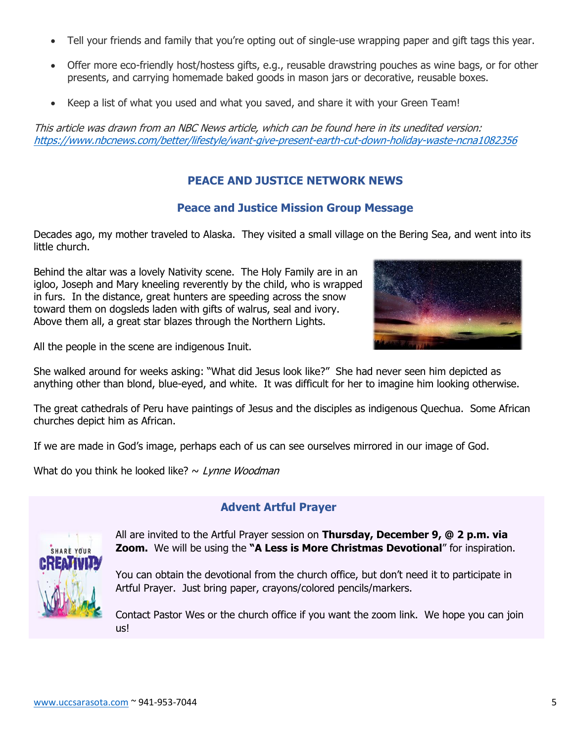- Tell your friends and family that you're opting out of single-use wrapping paper and gift tags this year.
- Offer more eco-friendly host/hostess gifts, e.g., reusable drawstring pouches as wine bags, or for other presents, and carrying homemade baked goods in mason jars or decorative, reusable boxes.
- Keep a list of what you used and what you saved, and share it with your Green Team!

This article was drawn from an NBC News article, which can be found here in its unedited version: <https://www.nbcnews.com/better/lifestyle/want-give-present-earth-cut-down-holiday-waste-ncna1082356>

## **PEACE AND JUSTICE NETWORK NEWS**

#### **Peace and Justice Mission Group Message**

Decades ago, my mother traveled to Alaska. They visited a small village on the Bering Sea, and went into its little church.

Behind the altar was a lovely Nativity scene. The Holy Family are in an igloo, Joseph and Mary kneeling reverently by the child, who is wrapped in furs. In the distance, great hunters are speeding across the snow toward them on dogsleds laden with gifts of walrus, seal and ivory. Above them all, a great star blazes through the Northern Lights.



All the people in the scene are indigenous Inuit.

She walked around for weeks asking: "What did Jesus look like?" She had never seen him depicted as anything other than blond, blue-eyed, and white. It was difficult for her to imagine him looking otherwise.

The great cathedrals of Peru have paintings of Jesus and the disciples as indigenous Quechua. Some African churches depict him as African.

If we are made in God's image, perhaps each of us can see ourselves mirrored in our image of God.

What do you think he looked like?  $\sim$  Lynne Woodman



## **Advent Artful Prayer**

All are invited to the Artful Prayer session on **Thursday, December 9, @ 2 p.m. via Zoom.** We will be using the **"A Less is More Christmas Devotional**" for inspiration.

You can obtain the devotional from the church office, but don't need it to participate in Artful Prayer. Just bring paper, crayons/colored pencils/markers.

Contact Pastor Wes or the church office if you want the zoom link. We hope you can join us!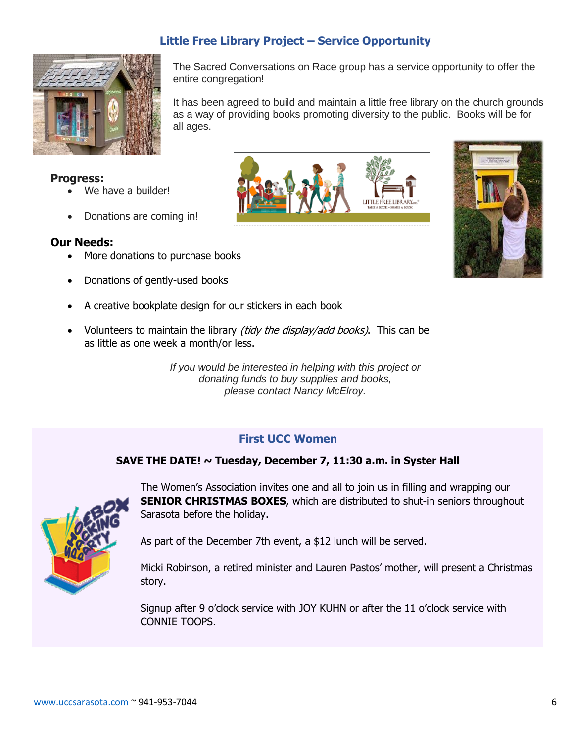## **Little Free Library Project – Service Opportunity**



The Sacred Conversations on Race group has a service opportunity to offer the entire congregation!

It has been agreed to build and maintain a little free library on the church grounds as a way of providing books promoting diversity to the public. Books will be for all ages.

LITTLE FR.FE LIBI

#### **Progress:**

- We have a builder!
- Donations are coming in!

#### **Our Needs:**

- More donations to purchase books
- Donations of gently-used books
- A creative bookplate design for our stickers in each book
- Volunteers to maintain the library *(tidy the display/add books)*. This can be as little as one week a month/or less.

*If you would be interested in helping with this project or donating funds to buy supplies and books, please contact Nancy McElroy.*

## **First UCC Women**

#### **SAVE THE DATE! ~ Tuesday, December 7, 11:30 a.m. in Syster Hall**



The Women's Association invites one and all to join us in filling and wrapping our **SENIOR CHRISTMAS BOXES,** which are distributed to shut-in seniors throughout Sarasota before the holiday.

As part of the December 7th event, a \$12 lunch will be served.

Micki Robinson, a retired minister and Lauren Pastos' mother, will present a Christmas story.

Signup after 9 o'clock service with JOY KUHN or after the 11 o'clock service with CONNIE TOOPS.

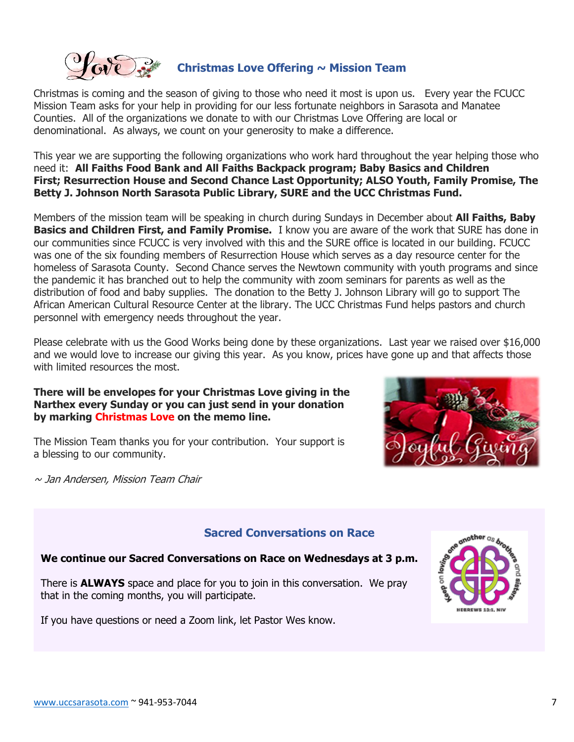

Christmas is coming and the season of giving to those who need it most is upon us. Every year the FCUCC Mission Team asks for your help in providing for our less fortunate neighbors in Sarasota and Manatee Counties. All of the organizations we donate to with our Christmas Love Offering are local or denominational. As always, we count on your generosity to make a difference.

This year we are supporting the following organizations who work hard throughout the year helping those who need it: **All Faiths Food Bank and All Faiths Backpack program; Baby Basics and Children First; Resurrection House and Second Chance Last Opportunity; ALSO Youth, Family Promise, The Betty J. Johnson North Sarasota Public Library, SURE and the UCC Christmas Fund.**

Members of the mission team will be speaking in church during Sundays in December about **All Faiths, Baby Basics and Children First, and Family Promise.** I know you are aware of the work that SURE has done in our communities since FCUCC is very involved with this and the SURE office is located in our building. FCUCC was one of the six founding members of Resurrection House which serves as a day resource center for the homeless of Sarasota County. Second Chance serves the Newtown community with youth programs and since the pandemic it has branched out to help the community with zoom seminars for parents as well as the distribution of food and baby supplies. The donation to the Betty J. Johnson Library will go to support The African American Cultural Resource Center at the library. The UCC Christmas Fund helps pastors and church personnel with emergency needs throughout the year.

Please celebrate with us the Good Works being done by these organizations. Last year we raised over \$16,000 and we would love to increase our giving this year. As you know, prices have gone up and that affects those with limited resources the most.

#### **There will be envelopes for your Christmas Love giving in the Narthex every Sunday or you can just send in your donation by marking Christmas Love on the memo line.**

The Mission Team thanks you for your contribution. Your support is a blessing to our community.

 $\sim$  Jan Andersen, Mission Team Chair



## **Sacred Conversations on Race**

## **We continue our Sacred Conversations on Race on Wednesdays at 3 p.m.**

There is **ALWAYS** space and place for you to join in this conversation. We pray that in the coming months, you will participate.

If you have questions or need a Zoom link, let Pastor Wes know.

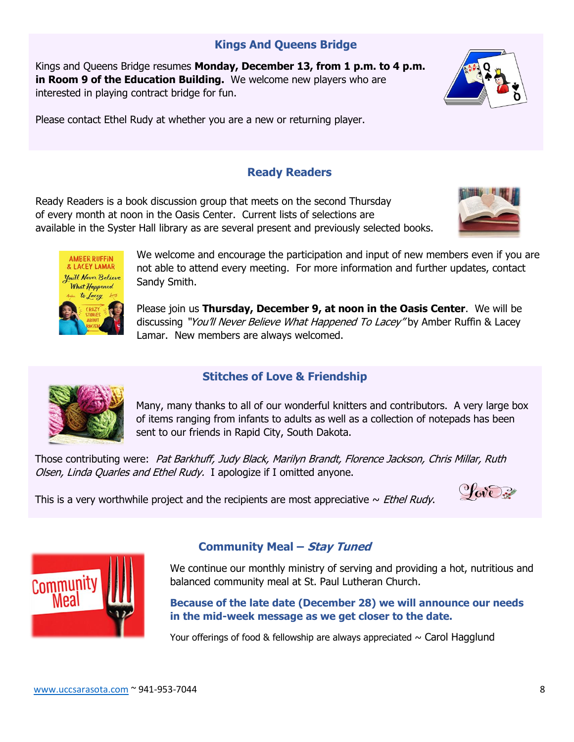## **Kings And Queens Bridge**

Kings and Queens Bridge resumes **Monday, December 13, from 1 p.m. to 4 p.m. in Room 9 of the Education Building.** We welcome new players who are interested in playing contract bridge for fun.



Please contact Ethel Rudy at whether you are a new or returning player.

## **Ready Readers**

Ready Readers is a book discussion group that meets on the second Thursday of every month at noon in the Oasis Center. Current lists of selections are available in the Syster Hall library as are several present and previously selected books.





We welcome and encourage the participation and input of new members even if you are not able to attend every meeting. For more information and further updates, contact Sandy Smith.

Please join us **Thursday, December 9, at noon in the Oasis Center**. We will be discussing "You'll Never Believe What Happened To Lacey" by Amber Ruffin & Lacey Lamar. New members are always welcomed.



## **Stitches of Love & Friendship**

Many, many thanks to all of our wonderful knitters and contributors. A very large box of items ranging from infants to adults as well as a collection of notepads has been sent to our friends in Rapid City, South Dakota.

Those contributing were: Pat Barkhuff, Judy Black, Marilyn Brandt, Florence Jackson, Chris Millar, Ruth Olsen, Linda Quarles and Ethel Rudy. I apologize if I omitted anyone.

This is a very worthwhile project and the recipients are most appreciative  $\sim$  *Ethel Rudy*.





## **Community Meal – Stay Tuned**

We continue our monthly ministry of serving and providing a hot, nutritious and balanced community meal at St. Paul Lutheran Church.

**Because of the late date (December 28) we will announce our needs in the mid-week message as we get closer to the date.**

Your offerings of food & fellowship are always appreciated  $\sim$  Carol Hagglund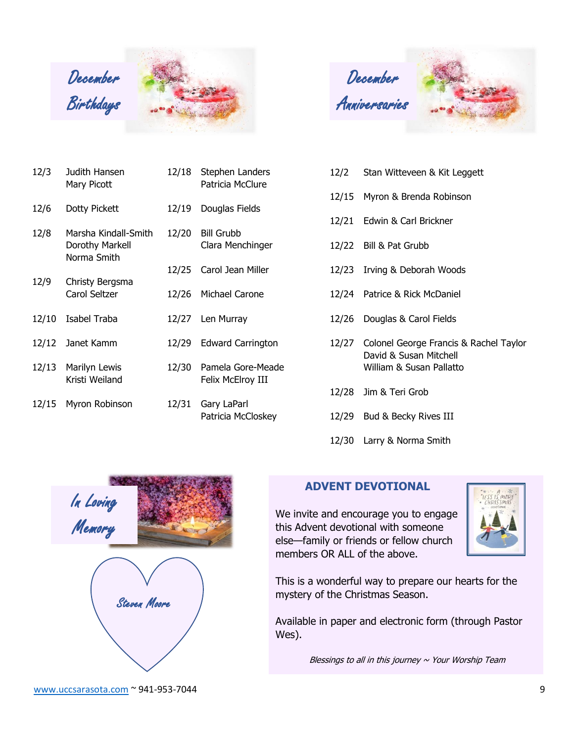

December Anniversaries



| 12/3  | Judith Hansen<br>Mary Picott                           | 12/18 | Stephen Landers<br>Patricia McClure    |
|-------|--------------------------------------------------------|-------|----------------------------------------|
| 12/6  | Dotty Pickett                                          | 12/19 | Douglas Fields                         |
| 12/8  | Marsha Kindall-Smith<br>Dorothy Markell<br>Norma Smith | 12/20 | <b>Bill Grubb</b><br>Clara Menchinger  |
|       |                                                        |       | 12/25 Carol Jean Miller                |
| 12/9  | Christy Bergsma<br>Carol Seltzer                       |       | 12/26 Michael Carone                   |
| 12/10 | Isabel Traba                                           |       | 12/27 Len Murray                       |
|       | 12/12 Janet Kamm                                       |       | 12/29 Edward Carrington                |
|       | 12/13 Marilyn Lewis<br>Kristi Weiland                  | 12/30 | Pamela Gore-Meade<br>Felix McElroy III |
| 12/15 | Myron Robinson                                         | 12/31 | Gary LaParl<br>Patricia McCloskey      |

| 12/2 | Stan Witteveen & Kit Leggett |  |  |
|------|------------------------------|--|--|
|      |                              |  |  |

- 12/15 Myron & Brenda Robinson
- 12/21 Edwin & Carl Brickner
- 12/22 Bill & Pat Grubb
- 12/23 Irving & Deborah Woods
- 12/24 Patrice & Rick McDaniel
- 12/26 Douglas & Carol Fields
- 12/27 Colonel George Francis & Rachel Taylor David & Susan Mitchell William & Susan Pallatto
- 12/28 Jim & Teri Grob
- 12/29 Bud & Becky Rives III
- 12/30 Larry & Norma Smith



## **ADVENT DEVOTIONAL**

We invite and encourage you to engage this Advent devotional with someone else—family or friends or fellow church members OR ALL of the above.



This is a wonderful way to prepare our hearts for the mystery of the Christmas Season.

Available in paper and electronic form (through Pastor Wes).

Blessings to all in this journey  $\sim$  Your Worship Team